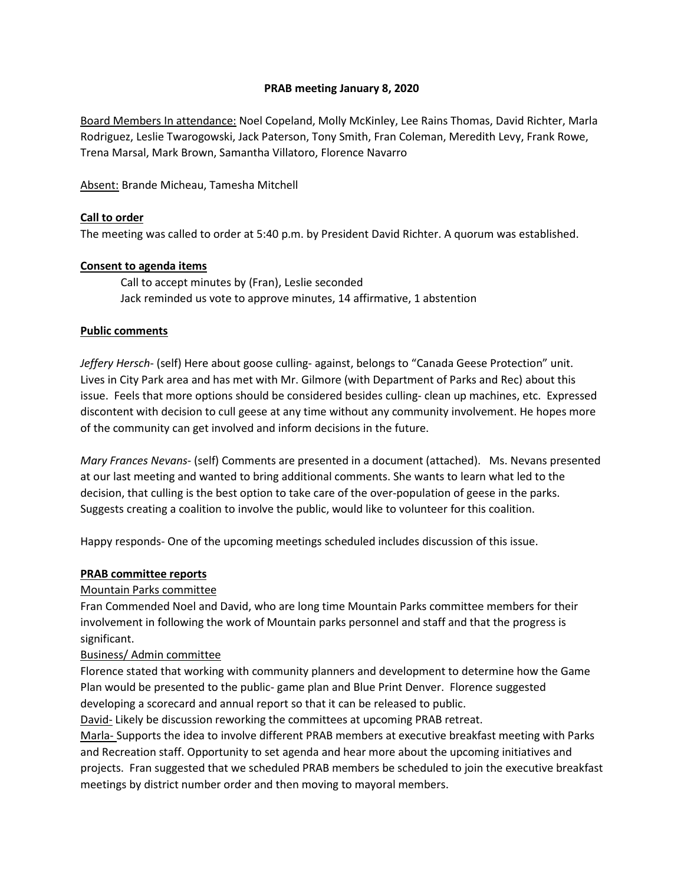## **PRAB meeting January 8, 2020**

Board Members In attendance: Noel Copeland, Molly McKinley, Lee Rains Thomas, David Richter, Marla Rodriguez, Leslie Twarogowski, Jack Paterson, Tony Smith, Fran Coleman, Meredith Levy, Frank Rowe, Trena Marsal, Mark Brown, Samantha Villatoro, Florence Navarro

Absent: Brande Micheau, Tamesha Mitchell

#### **Call to order**

The meeting was called to order at 5:40 p.m. by President David Richter. A quorum was established.

#### **Consent to agenda items**

Call to accept minutes by (Fran), Leslie seconded Jack reminded us vote to approve minutes, 14 affirmative, 1 abstention

#### **Public comments**

*Jeffery Hersch*- (self) Here about goose culling- against, belongs to "Canada Geese Protection" unit. Lives in City Park area and has met with Mr. Gilmore (with Department of Parks and Rec) about this issue. Feels that more options should be considered besides culling- clean up machines, etc. Expressed discontent with decision to cull geese at any time without any community involvement. He hopes more of the community can get involved and inform decisions in the future.

*Mary Frances Nevans-* (self) Comments are presented in a document (attached). Ms. Nevans presented at our last meeting and wanted to bring additional comments. She wants to learn what led to the decision, that culling is the best option to take care of the over-population of geese in the parks. Suggests creating a coalition to involve the public, would like to volunteer for this coalition.

Happy responds- One of the upcoming meetings scheduled includes discussion of this issue.

#### **PRAB committee reports**

## Mountain Parks committee

Fran Commended Noel and David, who are long time Mountain Parks committee members for their involvement in following the work of Mountain parks personnel and staff and that the progress is significant.

## Business/ Admin committee

Florence stated that working with community planners and development to determine how the Game Plan would be presented to the public- game plan and Blue Print Denver. Florence suggested developing a scorecard and annual report so that it can be released to public.

David- Likely be discussion reworking the committees at upcoming PRAB retreat.

Marla- Supports the idea to involve different PRAB members at executive breakfast meeting with Parks and Recreation staff. Opportunity to set agenda and hear more about the upcoming initiatives and projects. Fran suggested that we scheduled PRAB members be scheduled to join the executive breakfast meetings by district number order and then moving to mayoral members.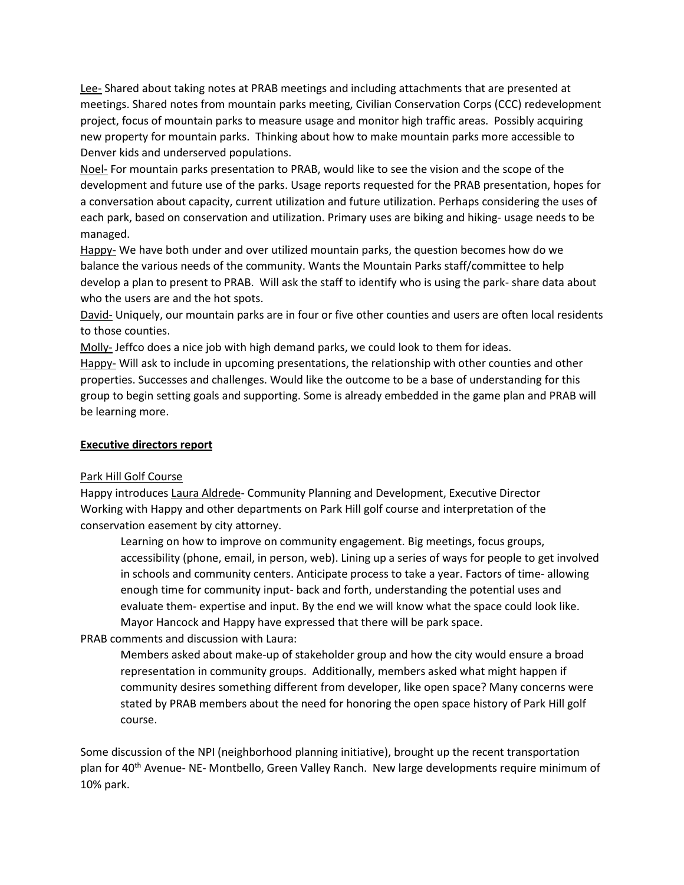Lee- Shared about taking notes at PRAB meetings and including attachments that are presented at meetings. Shared notes from mountain parks meeting, Civilian Conservation Corps (CCC) redevelopment project, focus of mountain parks to measure usage and monitor high traffic areas. Possibly acquiring new property for mountain parks. Thinking about how to make mountain parks more accessible to Denver kids and underserved populations.

Noel- For mountain parks presentation to PRAB, would like to see the vision and the scope of the development and future use of the parks. Usage reports requested for the PRAB presentation, hopes for a conversation about capacity, current utilization and future utilization. Perhaps considering the uses of each park, based on conservation and utilization. Primary uses are biking and hiking- usage needs to be managed.

Happy- We have both under and over utilized mountain parks, the question becomes how do we balance the various needs of the community. Wants the Mountain Parks staff/committee to help develop a plan to present to PRAB. Will ask the staff to identify who is using the park- share data about who the users are and the hot spots.

David- Uniquely, our mountain parks are in four or five other counties and users are often local residents to those counties.

Molly-Jeffco does a nice job with high demand parks, we could look to them for ideas.

Happy- Will ask to include in upcoming presentations, the relationship with other counties and other properties. Successes and challenges. Would like the outcome to be a base of understanding for this group to begin setting goals and supporting. Some is already embedded in the game plan and PRAB will be learning more.

## **Executive directors report**

## Park Hill Golf Course

Happy introduces Laura Aldrede- Community Planning and Development, Executive Director Working with Happy and other departments on Park Hill golf course and interpretation of the conservation easement by city attorney.

Learning on how to improve on community engagement. Big meetings, focus groups, accessibility (phone, email, in person, web). Lining up a series of ways for people to get involved in schools and community centers. Anticipate process to take a year. Factors of time- allowing enough time for community input- back and forth, understanding the potential uses and evaluate them- expertise and input. By the end we will know what the space could look like. Mayor Hancock and Happy have expressed that there will be park space.

# PRAB comments and discussion with Laura:

Members asked about make-up of stakeholder group and how the city would ensure a broad representation in community groups. Additionally, members asked what might happen if community desires something different from developer, like open space? Many concerns were stated by PRAB members about the need for honoring the open space history of Park Hill golf course.

Some discussion of the NPI (neighborhood planning initiative), brought up the recent transportation plan for 40<sup>th</sup> Avenue- NE- Montbello, Green Valley Ranch. New large developments require minimum of 10% park.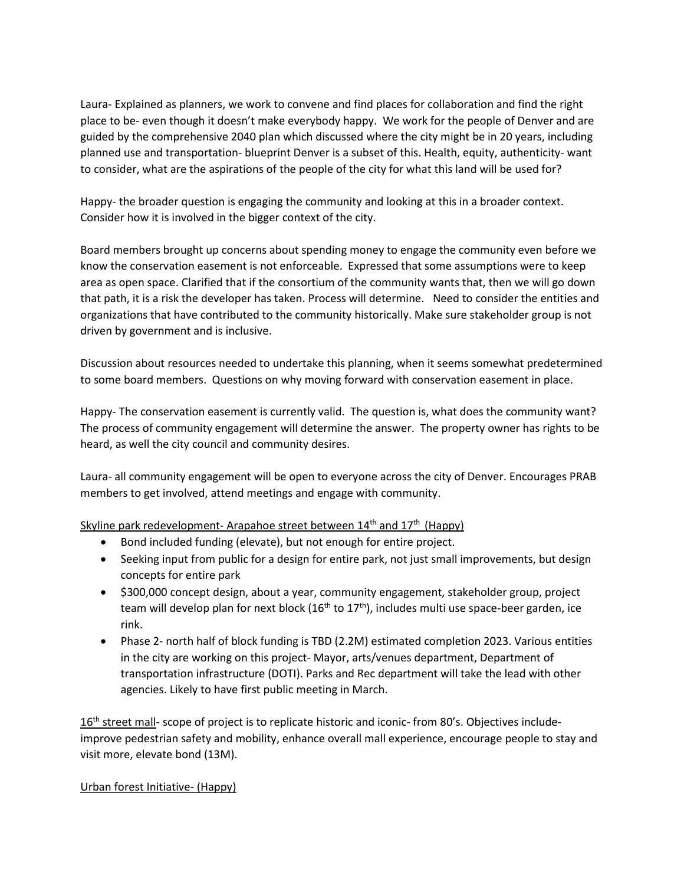Laura- Explained as planners, we work to convene and find places for collaboration and find the right place to be- even though it doesn't make everybody happy. We work for the people of Denver and are guided by the comprehensive 2040 plan which discussed where the city might be in 20 years, including planned use and transportation- blueprint Denver is a subset of this. Health, equity, authenticity- want to consider, what are the aspirations of the people of the city for what this land will be used for?

Happy- the broader question is engaging the community and looking at this in a broader context. Consider how it is involved in the bigger context of the city.

Board members brought up concerns about spending money to engage the community even before we know the conservation easement is not enforceable. Expressed that some assumptions were to keep area as open space. Clarified that if the consortium of the community wants that, then we will go down that path, it is a risk the developer has taken. Process will determine. Need to consider the entities and organizations that have contributed to the community historically. Make sure stakeholder group is not driven by government and is inclusive.

Discussion about resources needed to undertake this planning, when it seems somewhat predetermined to some board members. Questions on why moving forward with conservation easement in place.

Happy- The conservation easement is currently valid. The question is, what does the community want? The process of community engagement will determine the answer. The property owner has rights to be heard, as well the city council and community desires.

Laura- all community engagement will be open to everyone across the city of Denver. Encourages PRAB members to get involved, attend meetings and engage with community.

Skyline park redevelopment- Arapahoe street between 14<sup>th</sup> and 17<sup>th</sup> (Happy)

- Bond included funding (elevate), but not enough for entire project.
- Seeking input from public for a design for entire park, not just small improvements, but design concepts for entire park
- \$300,000 concept design, about a year, community engagement, stakeholder group, project team will develop plan for next block ( $16<sup>th</sup>$  to  $17<sup>th</sup>$ ), includes multi use space-beer garden, ice rink.
- Phase 2- north half of block funding is TBD (2.2M) estimated completion 2023. Various entities in the city are working on this project- Mayor, arts/venues department, Department of transportation infrastructure (DOTI). Parks and Rec department will take the lead with other agencies. Likely to have first public meeting in March.

16<sup>th</sup> street mall- scope of project is to replicate historic and iconic- from 80's. Objectives includeimprove pedestrian safety and mobility, enhance overall mall experience, encourage people to stay and visit more, elevate bond (13M).

# Urban forest Initiative- (Happy)